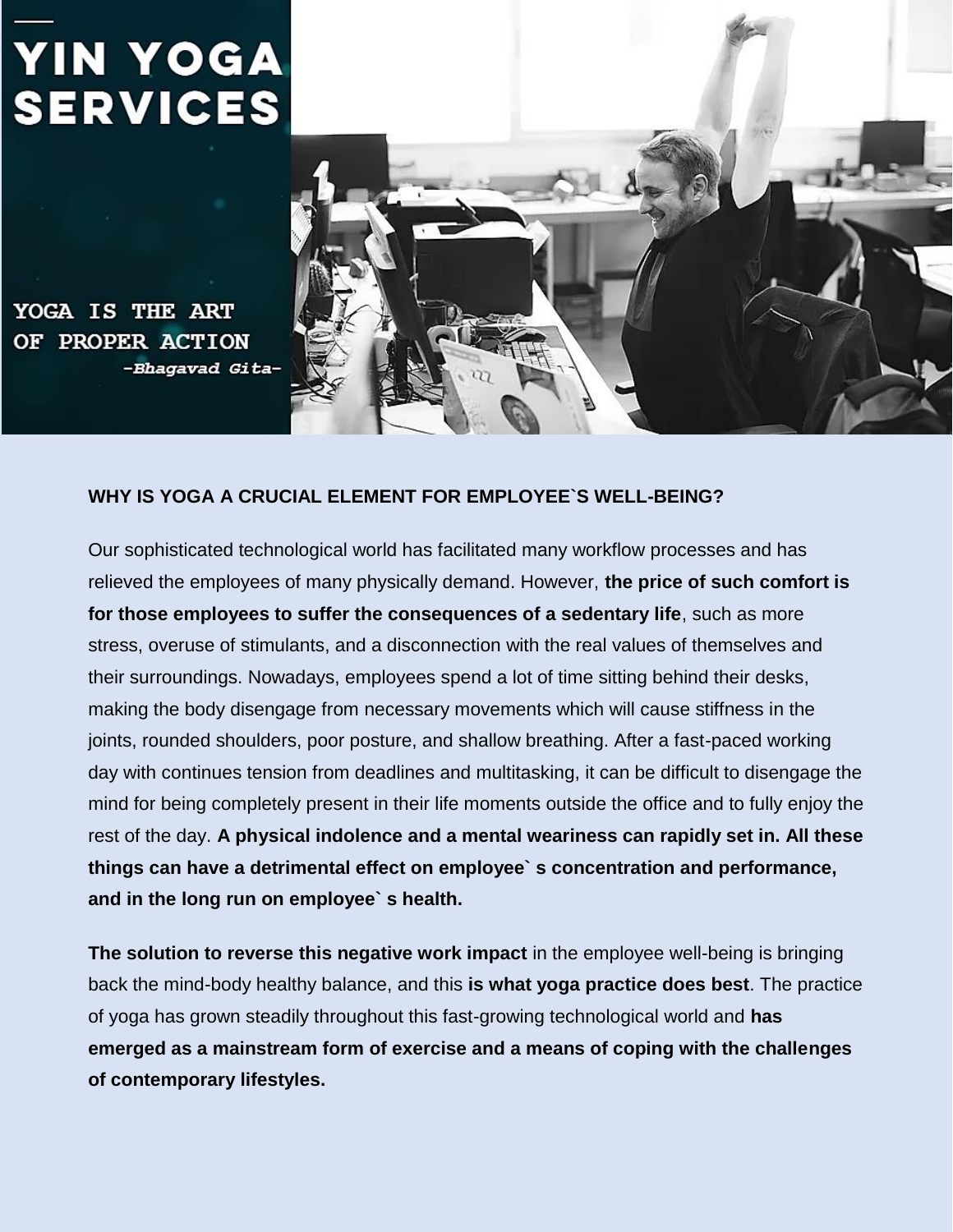# **YIN YOGA SERVICES**

YOGA IS THE ART **OF PROPER ACTION** -Bhagavad Gita-



#### **WHY IS YOGA A CRUCIAL ELEMENT FOR EMPLOYEE`S WELL-BEING?**

Our sophisticated technological world has facilitated many workflow processes and has relieved the employees of many physically demand. However, **the price of such comfort is for those employees to suffer the consequences of a sedentary life**, such as more stress, overuse of stimulants, and a disconnection with the real values of themselves and their surroundings. Nowadays, employees spend a lot of time sitting behind their desks, making the body disengage from necessary movements which will cause stiffness in the joints, rounded shoulders, poor posture, and shallow breathing. After a fast-paced working day with continues tension from deadlines and multitasking, it can be difficult to disengage the mind for being completely present in their life moments outside the office and to fully enjoy the rest of the day. **A physical indolence and a mental weariness can rapidly set in. All these things can have a detrimental effect on employee` s concentration and performance, and in the long run on employee` s health.**

**The solution to reverse this negative work impact** in the employee well-being is bringing back the mind-body healthy balance, and this **is what yoga practice does best**. The practice of yoga has grown steadily throughout this fast-growing technological world and **has emerged as a mainstream form of exercise and a means of coping with the challenges of contemporary lifestyles.**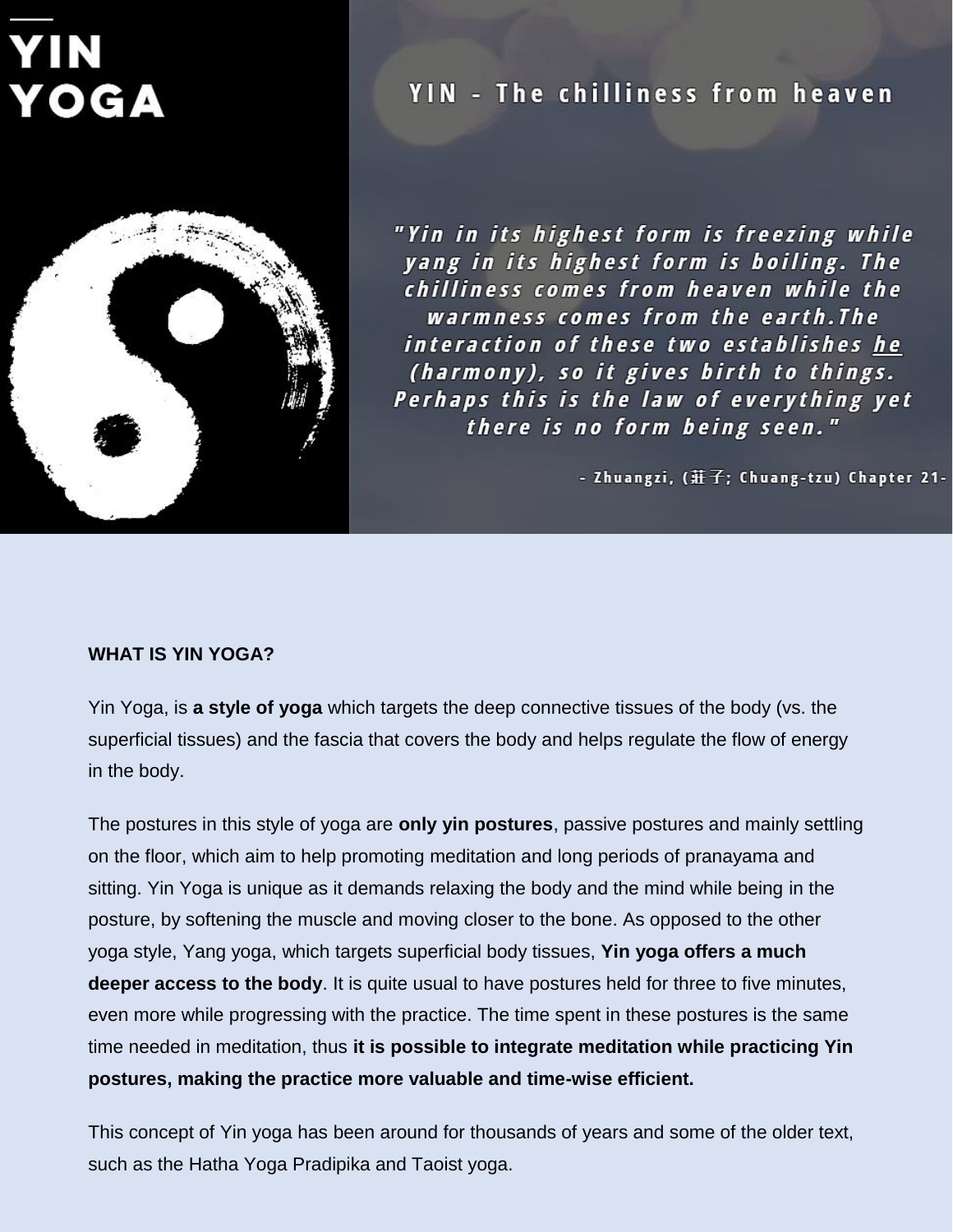# OGA



## YIN - The chilliness from heaven

"Yin in its highest form is freezing while yang in its highest form is boiling. The chilliness comes from heaven while the warmness comes from the earth.The interaction of these two establishes he (harmony), so it gives birth to things. Perhaps this is the law of everything yet there is no form being seen."

- Zhuangzi, (莊子; Chuang-tzu) Chapter 21-

#### **WHAT IS YIN YOGA?**

Yin Yoga, is **a style of yoga** which targets the deep connective tissues of the body (vs. the superficial tissues) and the fascia that covers the body and helps regulate the flow of energy in the body.

The postures in this style of yoga are **only yin postures**, passive postures and mainly settling on the floor, which aim to help promoting meditation and long periods of pranayama and sitting. Yin Yoga is unique as it demands relaxing the body and the mind while being in the posture, by softening the muscle and moving closer to the bone. As opposed to the other yoga style, Yang yoga, which targets superficial body tissues, **Yin yoga offers a much deeper access to the body**. It is quite usual to have postures held for three to five minutes, even more while progressing with the practice. The time spent in these postures is the same time needed in meditation, thus **it is possible to integrate meditation while practicing Yin postures, making the practice more valuable and time-wise efficient.**

This concept of Yin yoga has been around for thousands of years and some of the older text, such as the Hatha Yoga Pradipika and Taoist yoga.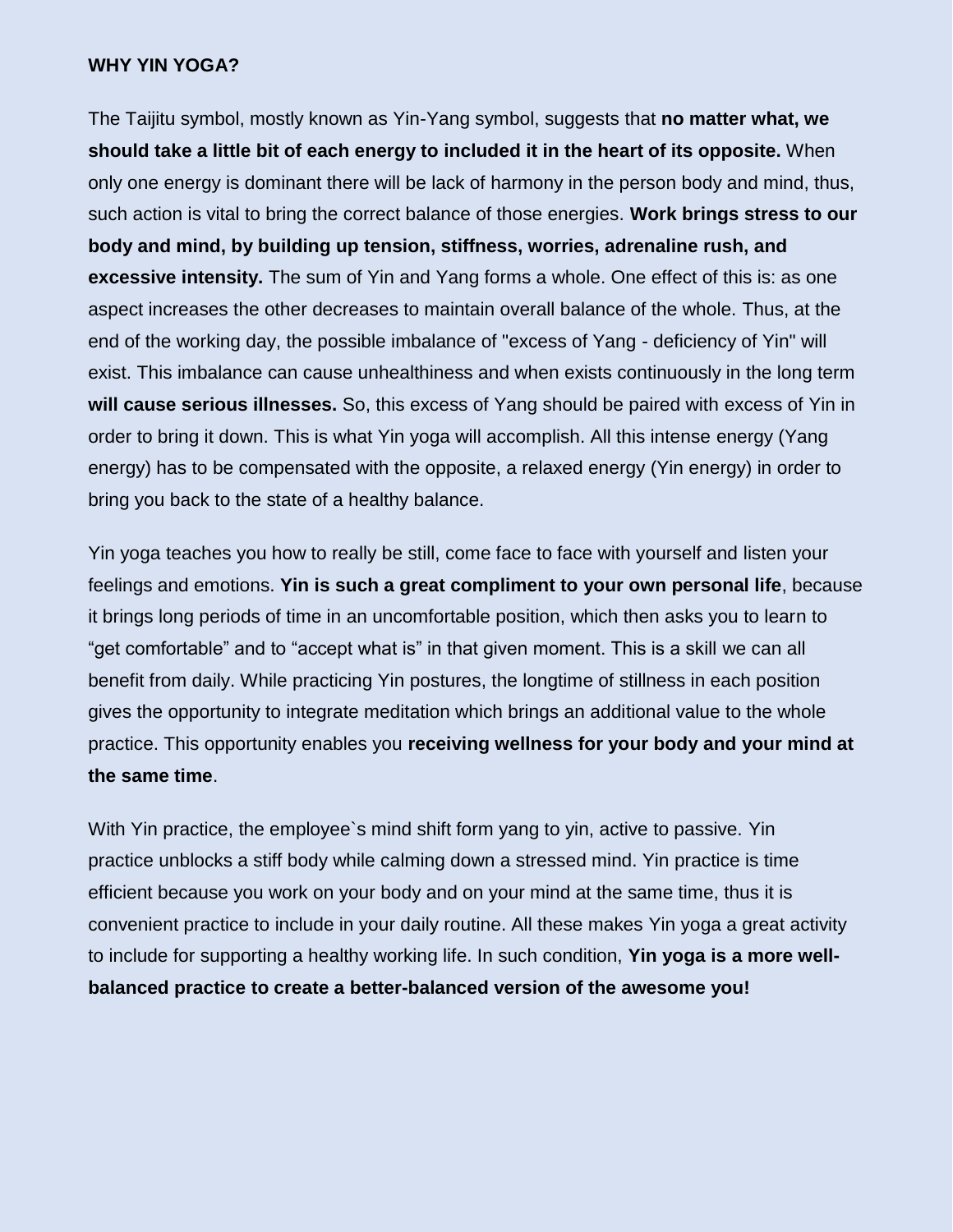#### **WHY YIN YOGA?**

The Taijitu symbol, mostly known as Yin-Yang symbol, suggests that **no matter what, we should take a little bit of each energy to included it in the heart of its opposite.** When only one energy is dominant there will be lack of harmony in the person body and mind, thus, such action is vital to bring the correct balance of those energies. **Work brings stress to our body and mind, by building up tension, stiffness, worries, adrenaline rush, and excessive intensity.** The sum of Yin and Yang forms a whole. One effect of this is: as one aspect increases the other decreases to maintain overall balance of the whole. Thus, at the end of the working day, the possible imbalance of "excess of Yang - deficiency of Yin" will exist. This imbalance can cause unhealthiness and when exists continuously in the long term **will cause serious illnesses.** So, this excess of Yang should be paired with excess of Yin in order to bring it down. This is what Yin yoga will accomplish. All this intense energy (Yang energy) has to be compensated with the opposite, a relaxed energy (Yin energy) in order to bring you back to the state of a healthy balance.

Yin yoga teaches you how to really be still, come face to face with yourself and listen your feelings and emotions. **Yin is such a great compliment to your own personal life**, because it brings long periods of time in an uncomfortable position, which then asks you to learn to "get comfortable" and to "accept what is" in that given moment. This is a skill we can all benefit from daily. While practicing Yin postures, the longtime of stillness in each position gives the opportunity to integrate meditation which brings an additional value to the whole practice. This opportunity enables you **receiving wellness for your body and your mind at the same time**.

With Yin practice, the employee's mind shift form yang to yin, active to passive. Yin practice unblocks a stiff body while calming down a stressed mind. Yin practice is time efficient because you work on your body and on your mind at the same time, thus it is convenient practice to include in your daily routine. All these makes Yin yoga a great activity to include for supporting a healthy working life. In such condition, **Yin yoga is a more wellbalanced practice to create a better-balanced version of the awesome you!**